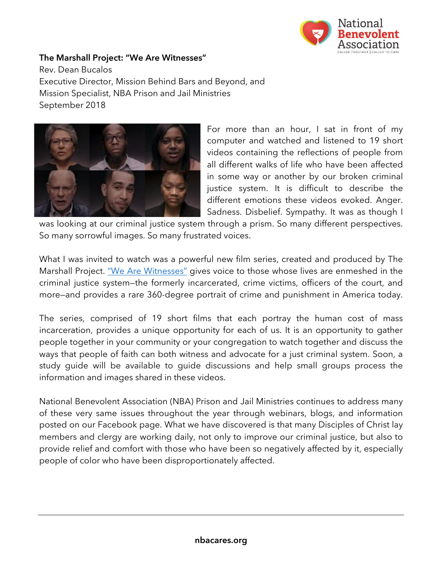

## **The Marshall Project: "We Are Witnesses"**

Rev. Dean Bucalos Executive Director, Mission Behind Bars and Beyond, and Mission Specialist, NBA Prison and Jail Ministries September 2018



For more than an hour, I sat in front of my computer and watched and listened to 19 short videos containing the reflections of people from all different walks of life who have been affected in some way or another by our broken criminal justice system. It is difficult to describe the different emotions these videos evoked. Anger. Sadness. Disbelief. Sympathy. It was as though I

was looking at our criminal justice system through a prism. So many different perspectives. So many sorrowful images. So many frustrated voices.

What I was invited to watch was a powerful new film series, created and produced by The Marshall Project. "We Are Witnesses" gives voice to those whose lives are enmeshed in the criminal justice system—the formerly incarcerated, crime victims, officers of the court, and more—and provides a rare 360-degree portrait of crime and punishment in America today.

The series, comprised of 19 short films that each portray the human cost of mass incarceration, provides a unique opportunity for each of us. It is an opportunity to gather people together in your community or your congregation to watch together and discuss the ways that people of faith can both witness and advocate for a just criminal system. Soon, a study guide will be available to guide discussions and help small groups process the information and images shared in these videos.

National Benevolent Association (NBA) Prison and Jail Ministries continues to address many of these very same issues throughout the year through webinars, blogs, and information posted on our Facebook page. What we have discovered is that many Disciples of Christ lay members and clergy are working daily, not only to improve our criminal justice, but also to provide relief and comfort with those who have been so negatively affected by it, especially people of color who have been disproportionately affected.